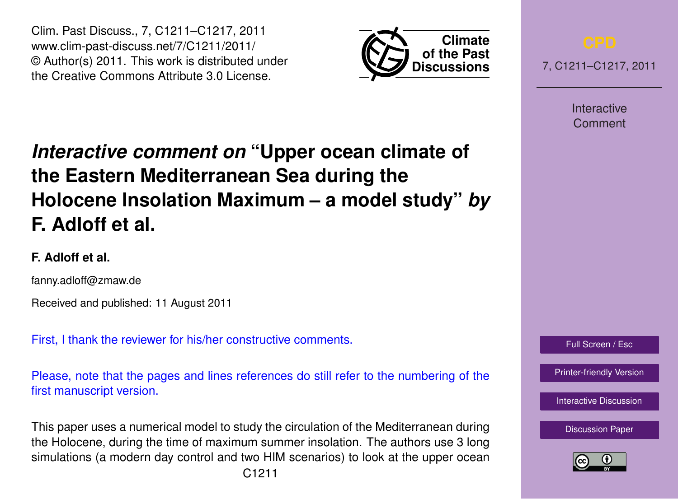Clim. Past Discuss., 7, C1211–C1217, 2011 www.clim-past-discuss.net/7/C1211/2011/ © Author(s) 2011. This work is distributed under the Creative Commons Attribute 3.0 License.



7, C1211–C1217, 2011

Interactive Comment

# *Interactive comment on* **"Upper ocean climate of the Eastern Mediterranean Sea during the Holocene Insolation Maximum – a model study"** *by* **F. Adloff et al.**

## **F. Adloff et al.**

fanny.adloff@zmaw.de

Received and published: 11 August 2011

First, I thank the reviewer for his/her constructive comments.

Please, note that the pages and lines references do still refer to the numbering of the first manuscript version.

This paper uses a numerical model to study the circulation of the Mediterranean during the Holocene, during the time of maximum summer insolation. The authors use 3 long simulations (a modern day control and two HIM scenarios) to look at the upper ocean



[Printer-friendly Version](http://www.clim-past-discuss.net/7/C1211/2011/cpd-7-C1211-2011-print.pdf)

[Interactive Discussion](http://www.clim-past-discuss.net/7/1457/2011/cpd-7-1457-2011-discussion.html)

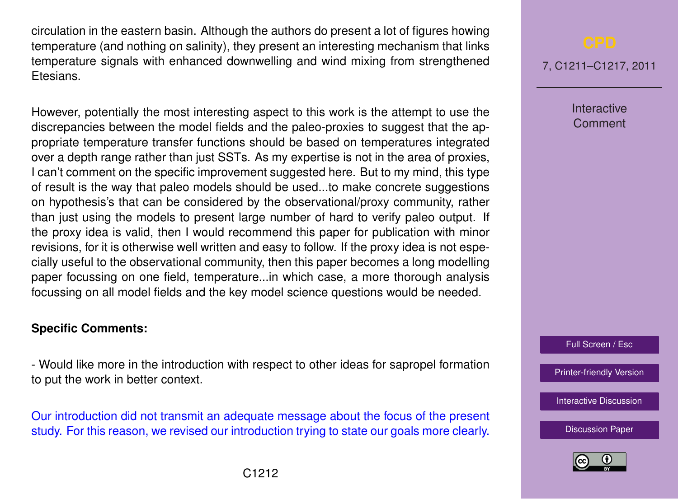circulation in the eastern basin. Although the authors do present a lot of figures howing temperature (and nothing on salinity), they present an interesting mechanism that links temperature signals with enhanced downwelling and wind mixing from strengthened Etesians.

However, potentially the most interesting aspect to this work is the attempt to use the discrepancies between the model fields and the paleo-proxies to suggest that the appropriate temperature transfer functions should be based on temperatures integrated over a depth range rather than just SSTs. As my expertise is not in the area of proxies, I can't comment on the specific improvement suggested here. But to my mind, this type of result is the way that paleo models should be used...to make concrete suggestions on hypothesis's that can be considered by the observational/proxy community, rather than just using the models to present large number of hard to verify paleo output. If the proxy idea is valid, then I would recommend this paper for publication with minor revisions, for it is otherwise well written and easy to follow. If the proxy idea is not especially useful to the observational community, then this paper becomes a long modelling paper focussing on one field, temperature...in which case, a more thorough analysis focussing on all model fields and the key model science questions would be needed.

### **Specific Comments:**

- Would like more in the introduction with respect to other ideas for sapropel formation to put the work in better context.

Our introduction did not transmit an adequate message about the focus of the present study. For this reason, we revised our introduction trying to state our goals more clearly.

7, C1211–C1217, 2011

Interactive Comment

Full Screen / Esc

[Printer-friendly Version](http://www.clim-past-discuss.net/7/C1211/2011/cpd-7-C1211-2011-print.pdf)

[Interactive Discussion](http://www.clim-past-discuss.net/7/1457/2011/cpd-7-1457-2011-discussion.html)

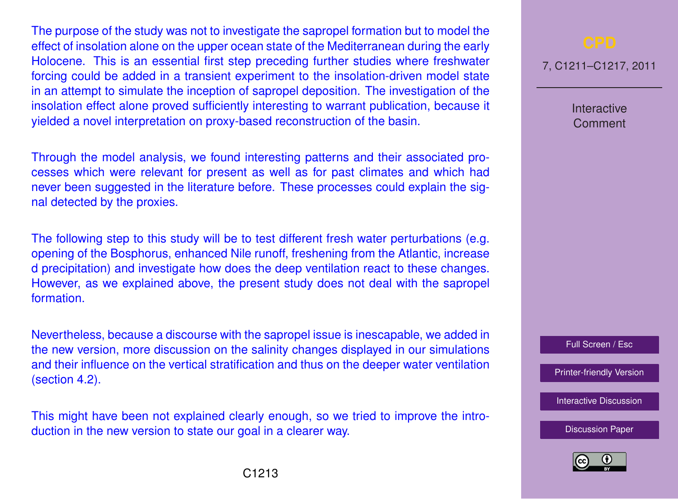The purpose of the study was not to investigate the sapropel formation but to model the effect of insolation alone on the upper ocean state of the Mediterranean during the early Holocene. This is an essential first step preceding further studies where freshwater forcing could be added in a transient experiment to the insolation-driven model state in an attempt to simulate the inception of sapropel deposition. The investigation of the insolation effect alone proved sufficiently interesting to warrant publication, because it yielded a novel interpretation on proxy-based reconstruction of the basin.

Through the model analysis, we found interesting patterns and their associated processes which were relevant for present as well as for past climates and which had never been suggested in the literature before. These processes could explain the signal detected by the proxies.

The following step to this study will be to test different fresh water perturbations (e.g. opening of the Bosphorus, enhanced Nile runoff, freshening from the Atlantic, increase d precipitation) and investigate how does the deep ventilation react to these changes. However, as we explained above, the present study does not deal with the sapropel formation.

Nevertheless, because a discourse with the sapropel issue is inescapable, we added in the new version, more discussion on the salinity changes displayed in our simulations and their influence on the vertical stratification and thus on the deeper water ventilation (section 4.2).

This might have been not explained clearly enough, so we tried to improve the introduction in the new version to state our goal in a clearer way.

7, C1211–C1217, 2011

Interactive Comment

Full Screen / Esc

[Printer-friendly Version](http://www.clim-past-discuss.net/7/C1211/2011/cpd-7-C1211-2011-print.pdf)

[Interactive Discussion](http://www.clim-past-discuss.net/7/1457/2011/cpd-7-1457-2011-discussion.html)

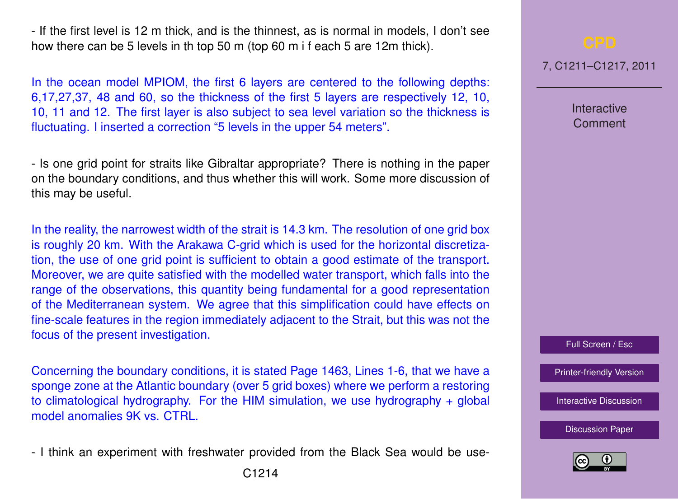- If the first level is 12 m thick, and is the thinnest, as is normal in models, I don't see how there can be 5 levels in th top 50 m (top 60 m i f each 5 are 12m thick).

In the ocean model MPIOM, the first 6 layers are centered to the following depths: 6,17,27,37, 48 and 60, so the thickness of the first 5 layers are respectively 12, 10, 10, 11 and 12. The first layer is also subject to sea level variation so the thickness is fluctuating. I inserted a correction "5 levels in the upper 54 meters".

- Is one grid point for straits like Gibraltar appropriate? There is nothing in the paper on the boundary conditions, and thus whether this will work. Some more discussion of this may be useful.

In the reality, the narrowest width of the strait is 14.3 km. The resolution of one grid box is roughly 20 km. With the Arakawa C-grid which is used for the horizontal discretization, the use of one grid point is sufficient to obtain a good estimate of the transport. Moreover, we are quite satisfied with the modelled water transport, which falls into the range of the observations, this quantity being fundamental for a good representation of the Mediterranean system. We agree that this simplification could have effects on fine-scale features in the region immediately adjacent to the Strait, but this was not the focus of the present investigation.

Concerning the boundary conditions, it is stated Page 1463, Lines 1-6, that we have a sponge zone at the Atlantic boundary (over 5 grid boxes) where we perform a restoring to climatological hydrography. For the HIM simulation, we use hydrography + global model anomalies 9K vs. CTRL.

- I think an experiment with freshwater provided from the Black Sea would be use-

7, C1211–C1217, 2011

**Interactive Comment** 

Full Screen / Esc

[Printer-friendly Version](http://www.clim-past-discuss.net/7/C1211/2011/cpd-7-C1211-2011-print.pdf)

[Interactive Discussion](http://www.clim-past-discuss.net/7/1457/2011/cpd-7-1457-2011-discussion.html)

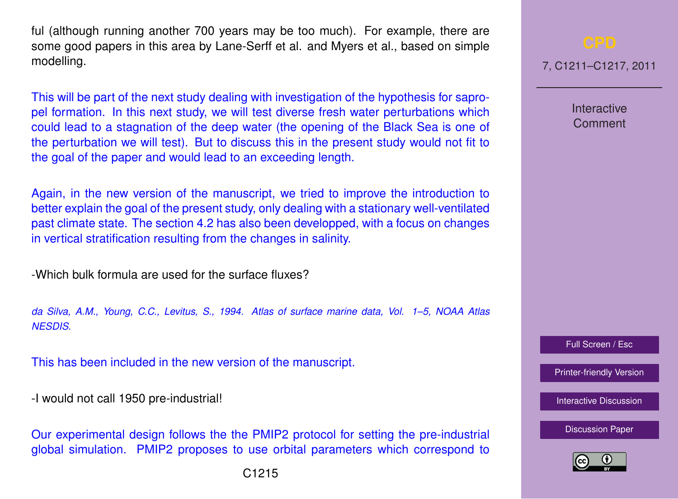ful (although running another 700 years may be too much). For example, there are some good papers in this area by Lane-Serff et al. and Myers et al., based on simple modelling.

This will be part of the next study dealing with investigation of the hypothesis for sapropel formation. In this next study, we will test diverse fresh water perturbations which could lead to a stagnation of the deep water (the opening of the Black Sea is one of the perturbation we will test). But to discuss this in the present study would not fit to the goal of the paper and would lead to an exceeding length.

Again, in the new version of the manuscript, we tried to improve the introduction to better explain the goal of the present study, only dealing with a stationary well-ventilated past climate state. The section 4.2 has also been developped, with a focus on changes in vertical stratification resulting from the changes in salinity.

-Which bulk formula are used for the surface fluxes?

*da Silva, A.M., Young, C.C., Levitus, S., 1994. Atlas of surface marine data, Vol. 1–5, NOAA Atlas NESDIS.*

This has been included in the new version of the manuscript.

-I would not call 1950 pre-industrial!

Our experimental design follows the the PMIP2 protocol for setting the pre-industrial global simulation. PMIP2 proposes to use orbital parameters which correspond to 7, C1211–C1217, 2011

Interactive **Comment** 

Full Screen / Esc

[Printer-friendly Version](http://www.clim-past-discuss.net/7/C1211/2011/cpd-7-C1211-2011-print.pdf)

[Interactive Discussion](http://www.clim-past-discuss.net/7/1457/2011/cpd-7-1457-2011-discussion.html)

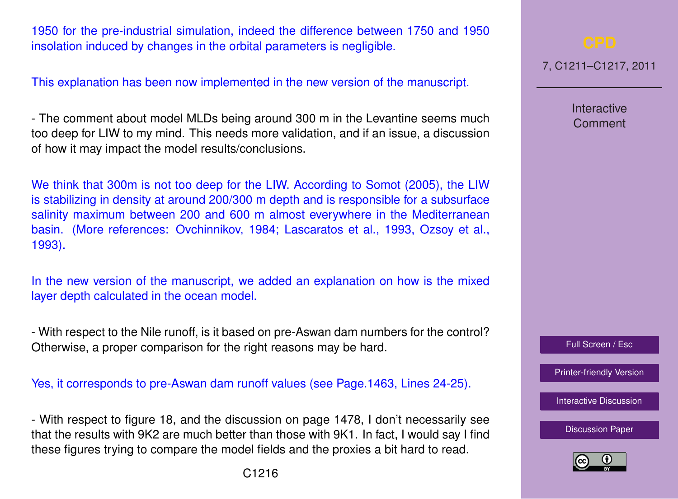1950 for the pre-industrial simulation, indeed the difference between 1750 and 1950 insolation induced by changes in the orbital parameters is negligible.

This explanation has been now implemented in the new version of the manuscript.

- The comment about model MLDs being around 300 m in the Levantine seems much too deep for LIW to my mind. This needs more validation, and if an issue, a discussion of how it may impact the model results/conclusions.

We think that 300m is not too deep for the LIW. According to Somot (2005), the LIW is stabilizing in density at around 200/300 m depth and is responsible for a subsurface salinity maximum between 200 and 600 m almost everywhere in the Mediterranean basin. (More references: Ovchinnikov, 1984; Lascaratos et al., 1993, Ozsoy et al., 1993).

In the new version of the manuscript, we added an explanation on how is the mixed layer depth calculated in the ocean model.

- With respect to the Nile runoff, is it based on pre-Aswan dam numbers for the control? Otherwise, a proper comparison for the right reasons may be hard.

Yes, it corresponds to pre-Aswan dam runoff values (see Page.1463, Lines 24-25).

- With respect to figure 18, and the discussion on page 1478, I don't necessarily see that the results with 9K2 are much better than those with 9K1. In fact, I would say I find these figures trying to compare the model fields and the proxies a bit hard to read.

Full Screen / Esc

[Printer-friendly Version](http://www.clim-past-discuss.net/7/C1211/2011/cpd-7-C1211-2011-print.pdf)

[Interactive Discussion](http://www.clim-past-discuss.net/7/1457/2011/cpd-7-1457-2011-discussion.html)

[Discussion Paper](http://www.clim-past-discuss.net/7/1457/2011/cpd-7-1457-2011.pdf)



7, C1211–C1217, 2011

Interactive Comment